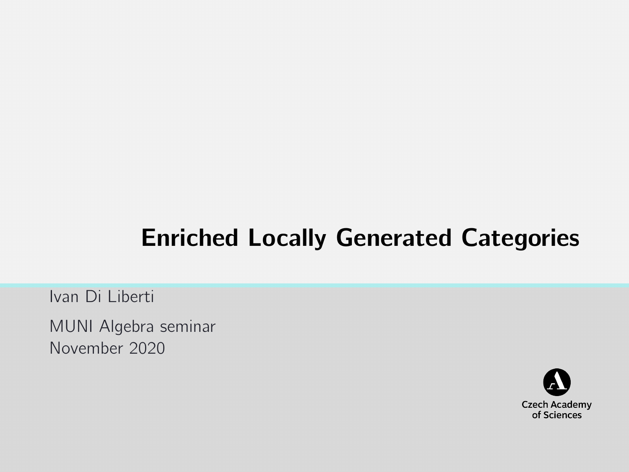# Enriched Locally Generated Categories

Ivan Di Liberti

MUNI Algebra seminar November 2020

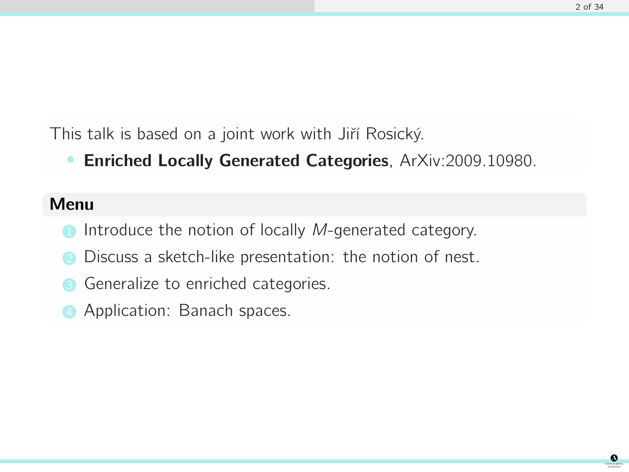This talk is based on a joint work with Jiří Rosický.

Enriched Locally Generated Categories, [ArXiv:2009.10980.](https://arxiv.org/abs/2009.10980)

### Menu

- Introduce the notion of locally M-generated category.
- Discuss a sketch-like presentation: the notion of nest.
- Generalize to enriched categories.
- Application: Banach spaces.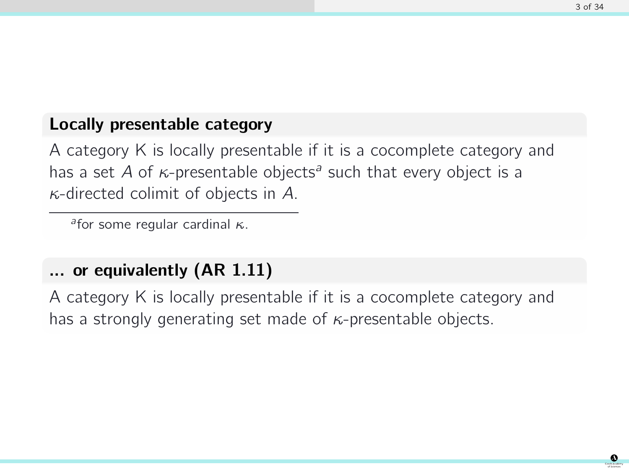### Locally presentable category

A category K is locally presentable if it is a cocomplete category and has a set A of  $\kappa$ -presentable objects<sup>a</sup> such that every object is a  $\kappa$ -directed colimit of objects in A.

afor some regular cardinal  $κ$ .

### ... or equivalently (AR 1.11)

A category K is locally presentable if it is a cocomplete category and has a strongly generating set made of  $\kappa$ -presentable objects.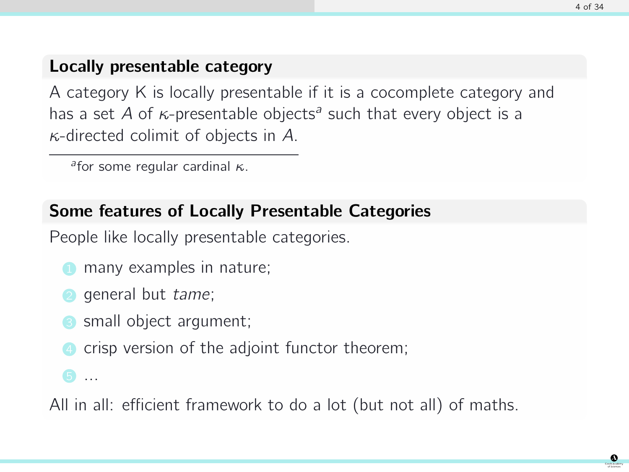# Locally presentable category

A category K is locally presentable if it is a cocomplete category and has a set A of  $\kappa$ -presentable objects<sup>a</sup> such that every object is a  $\kappa$ -directed colimit of objects in A.

afor some regular cardinal  $κ$ .

### Some features of Locally Presentable Categories

People like locally presentable categories.

- many examples in nature;
- general but tame;
- small object argument;
- crisp version of the adjoint functor theorem;
- 6 . . .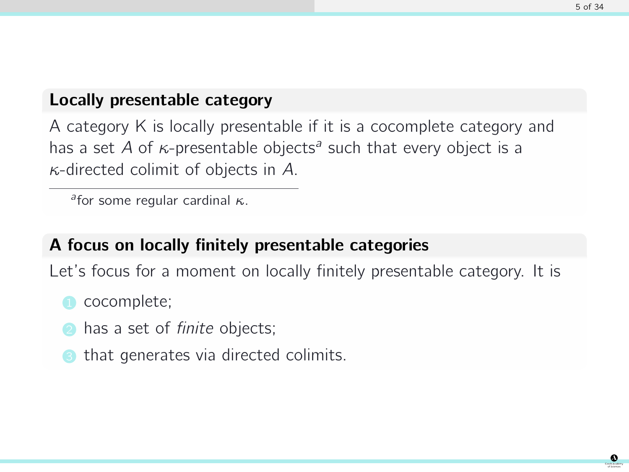### Locally presentable category

A category K is locally presentable if it is a cocomplete category and has a set A of  $\kappa$ -presentable objects<sup>a</sup> such that every object is a  $\kappa$ -directed colimit of objects in A.

afor some regular cardinal  $κ$ .

# A focus on locally finitely presentable categories

Let's focus for a moment on locally finitely presentable category. It is

- cocomplete;
- has a set of *finite* objects;
- that generates via directed colimits.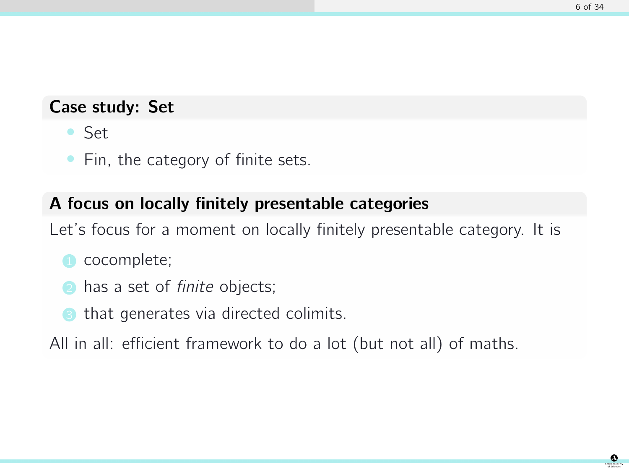### Case study: Set

- Set
- Fin, the category of finite sets.

# A focus on locally finitely presentable categories

Let's focus for a moment on locally finitely presentable category. It is

- cocomplete;
- has a set of *finite* objects;
- that generates via directed colimits.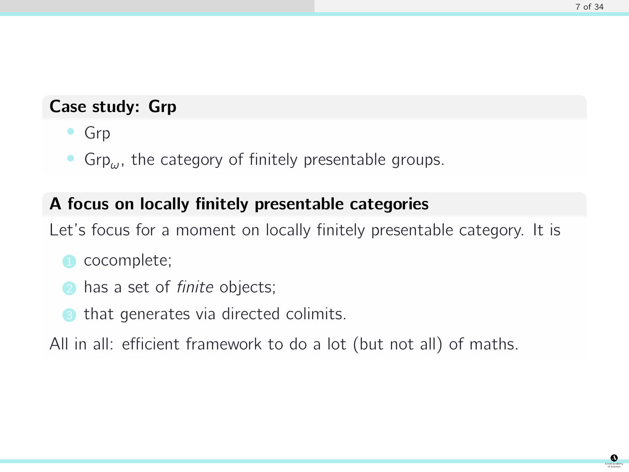#### Case study: Grp

- Grp
- Grp $\mu$ , the category of finitely presentable groups.

# A focus on locally finitely presentable categories

Let's focus for a moment on locally finitely presentable category. It is

- cocomplete;
- has a set of *finite* objects;
- that generates via directed colimits.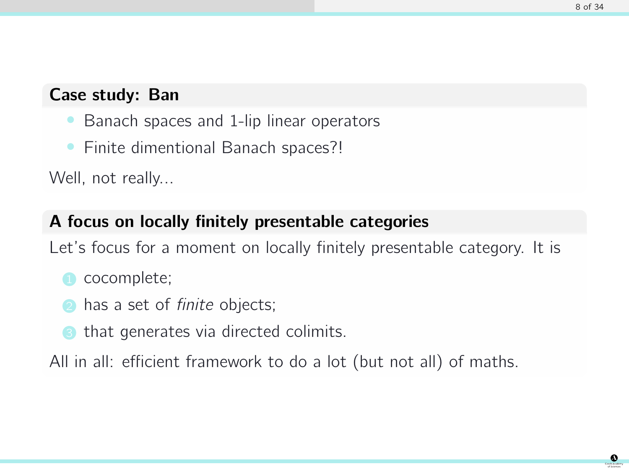# Case study: Ban

- Banach spaces and 1-lip linear operators
- Finite dimentional Banach spaces?!

Well, not really...

# A focus on locally finitely presentable categories

Let's focus for a moment on locally finitely presentable category. It is

- cocomplete;
- has a set of *finite* objects;
- that generates via directed colimits.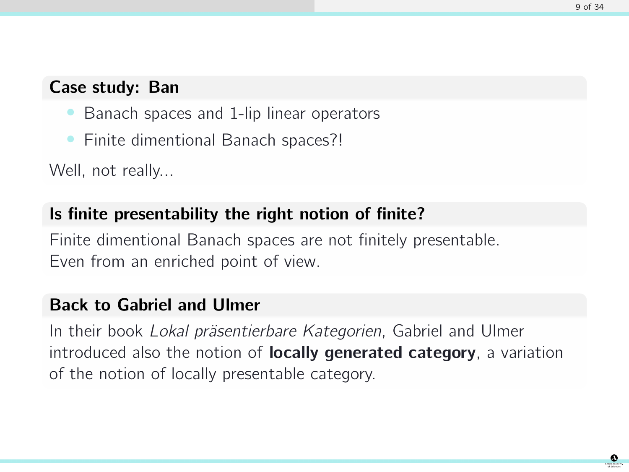### Case study: Ban

- Banach spaces and 1-lip linear operators
- Finite dimentional Banach spaces?!

Well, not really...

# Is finite presentability the right notion of finite?

Finite dimentional Banach spaces are not finitely presentable. Even from an enriched point of view.

# Back to Gabriel and Ulmer

In their book Lokal präsentierbare Kategorien, Gabriel and Ulmer introduced also the notion of **locally generated category**, a variation of the notion of locally presentable category.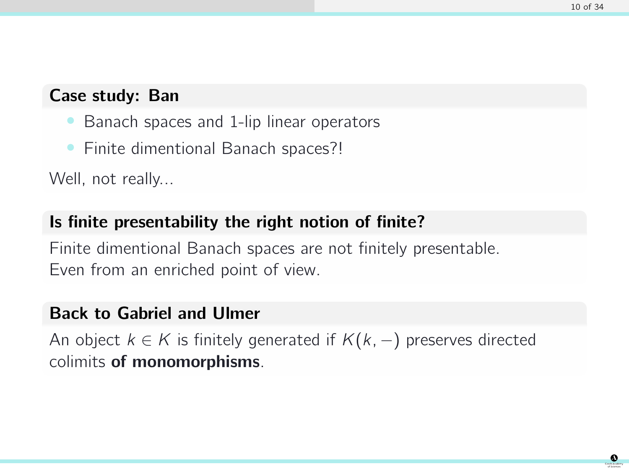# Case study: Ban

- Banach spaces and 1-lip linear operators
- Finite dimentional Banach spaces?!

Well, not really...

# Is finite presentability the right notion of finite?

Finite dimentional Banach spaces are not finitely presentable. Even from an enriched point of view.

# Back to Gabriel and Ulmer

An object  $k \in K$  is finitely generated if  $K(k, -)$  preserves directed colimits of monomorphisms.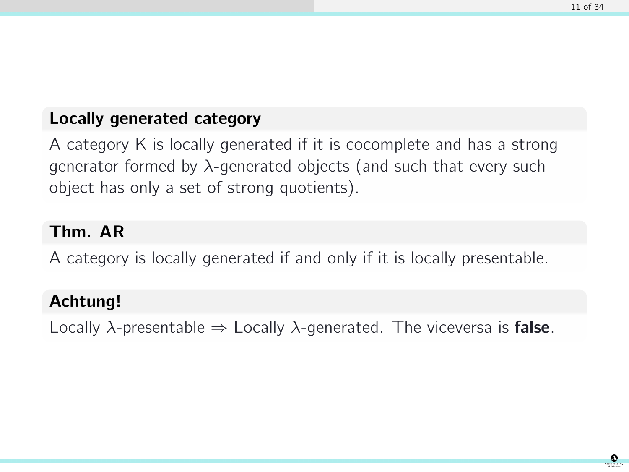# Locally generated category

A category K is locally generated if it is cocomplete and has a strong generator formed by  $\lambda$ -generated objects (and such that every such object has only a set of strong quotients).

### Thm. AR

A category is locally generated if and only if it is locally presentable.

# Achtung!

Locally  $\lambda$ -presentable  $\Rightarrow$  Locally  $\lambda$ -generated. The viceversa is **false**.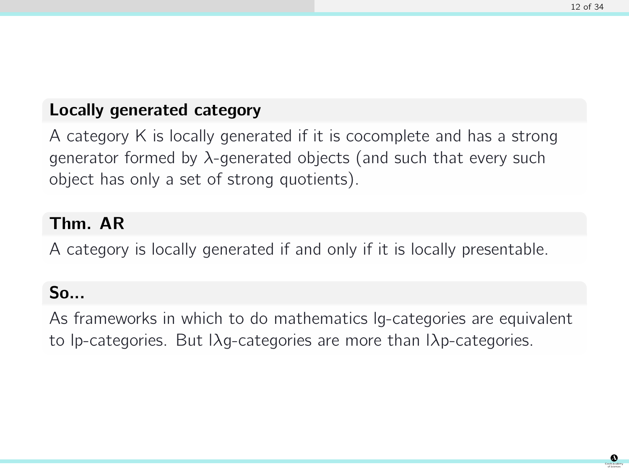# Locally generated category

A category K is locally generated if it is cocomplete and has a strong generator formed by  $\lambda$ -generated objects (and such that every such object has only a set of strong quotients).

### Thm. AR

A category is locally generated if and only if it is locally presentable.

# So...

As frameworks in which to do mathematics lg-categories are equivalent to lp-categories. But lλg-categories are more than lλp-categories.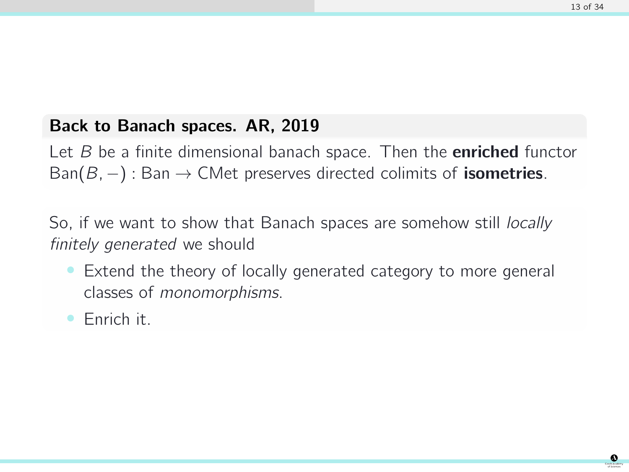# Back to Banach spaces. AR, 2019

Let  $B$  be a finite dimensional banach space. Then the **enriched** functor Ban( $B, -$ ) : Ban  $\rightarrow$  CMet preserves directed colimits of **isometries**.

So, if we want to show that Banach spaces are somehow still *locally* finitely generated we should

- Extend the theory of locally generated category to more general classes of monomorphisms.
- Enrich it.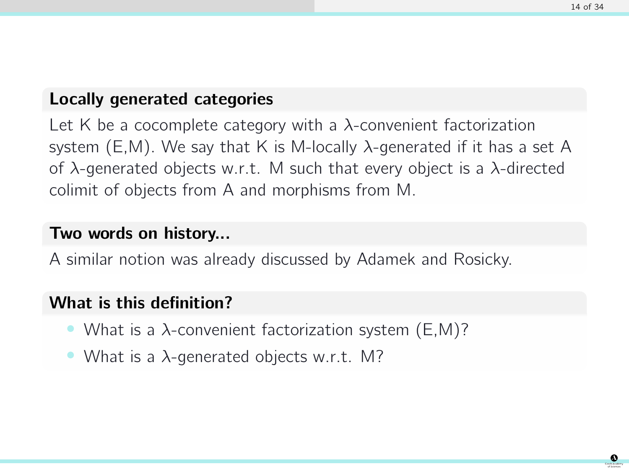### Locally generated categories

Let K be a cocomplete category with a  $\lambda$ -convenient factorization system  $(E,M)$ . We say that K is M-locally  $\lambda$ -generated if it has a set A of λ-generated objects w.r.t. M such that every object is a λ-directed colimit of objects from A and morphisms from M.

#### Two words on history...

A similar notion was already discussed by Adamek and Rosicky.

### What is this definition?

- What is a  $\lambda$ -convenient factorization system (E,M)?
- What is a  $\lambda$ -generated objects w.r.t. M?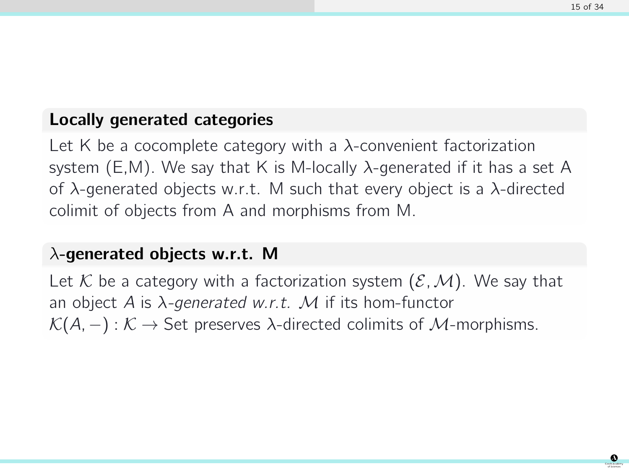# Locally generated categories

Let K be a cocomplete category with a  $\lambda$ -convenient factorization system  $(E,M)$ . We say that K is M-locally  $\lambda$ -generated if it has a set A of  $\lambda$ -generated objects w.r.t. M such that every object is a  $\lambda$ -directed colimit of objects from A and morphisms from M.

### $\lambda$ -generated objects w.r.t. M

Let K be a category with a factorization system  $(\mathcal{E}, \mathcal{M})$ . We say that an object A is  $\lambda$ -generated w.r.t. M if its hom-functor  $\mathcal{K}(A, -): \mathcal{K} \to \mathsf{Set}$  preserves  $\lambda$ -directed colimits of  $\mathcal{M}$ -morphisms.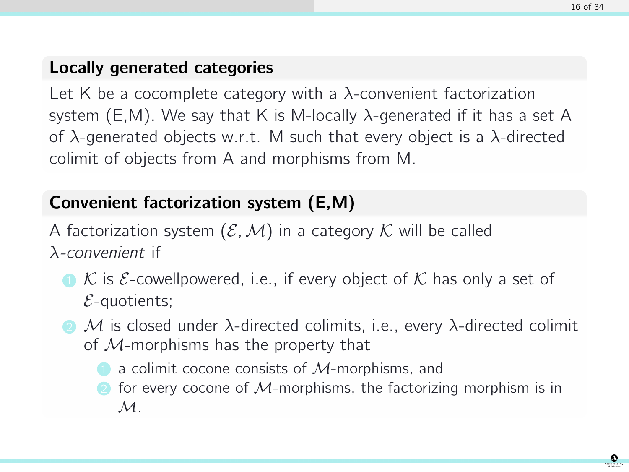# Locally generated categories

Let K be a cocomplete category with a  $\lambda$ -convenient factorization system (E,M). We say that K is M-locally  $\lambda$ -generated if it has a set A of  $\lambda$ -generated objects w.r.t. M such that every object is a  $\lambda$ -directed colimit of objects from A and morphisms from M.

# Convenient factorization system (E,M)

A factorization system  $(\mathcal{E},\mathcal{M})$  in a category K will be called λ-convenient if

- $\bullet$  K is E-cowellpowered, i.e., if every object of K has only a set of  $E$ -quotients;
- $\bullet$  M is closed under  $\lambda$ -directed colimits, i.e., every  $\lambda$ -directed colimit of  $M$ -morphisms has the property that
	- $\blacksquare$  a colimit cocone consists of  $M$ -morphisms, and
	- $\Omega$  for every cocone of M-morphisms, the factorizing morphism is in  $\mathcal{M}.$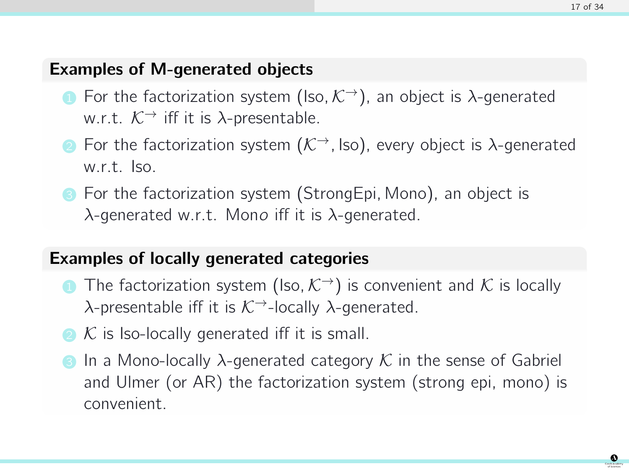### Examples of M-generated objects

- **1** For the factorization system (Iso,  $\mathcal{K}^{\rightarrow}$ ), an object is  $\lambda$ -generated w.r.t.  $K^{\rightarrow}$  iff it is  $\lambda$ -presentable.
- 2 For the factorization system  $(\mathcal{K}^{\rightarrow})$ , Iso), every object is  $\lambda$ -generated w.r.t. Iso.
- **3** For the factorization system (StrongEpi, Mono), an object is  $\lambda$ -generated w.r.t. Mono iff it is  $\lambda$ -generated.

# Examples of locally generated categories

- **1** The factorization system (Iso,  $K^{\rightarrow}$ ) is convenient and K is locally  $\lambda$ -presentable iff it is  $K^{\rightarrow}$ -locally  $\lambda$ -generated.
- $\Omega$  K is Iso-locally generated iff it is small.
- **3** In a Mono-locally  $\lambda$ -generated category  $\mathcal K$  in the sense of Gabriel and Ulmer (or AR) the factorization system (strong epi, mono) is convenient.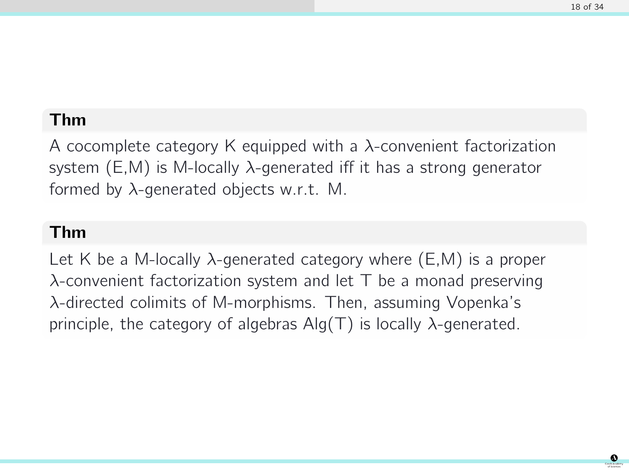# Thm

A cocomplete category K equipped with a  $\lambda$ -convenient factorization system  $(E,M)$  is M-locally  $\lambda$ -generated iff it has a strong generator formed by  $\lambda$ -generated objects w.r.t. M.

#### Thm

Let K be a M-locally  $\lambda$ -generated category where (E,M) is a proper  $\lambda$ -convenient factorization system and let T be a monad preserving λ-directed colimits of M-morphisms. Then, assuming Vopenka's principle, the category of algebras  $\text{Alg}(T)$  is locally  $\lambda$ -generated.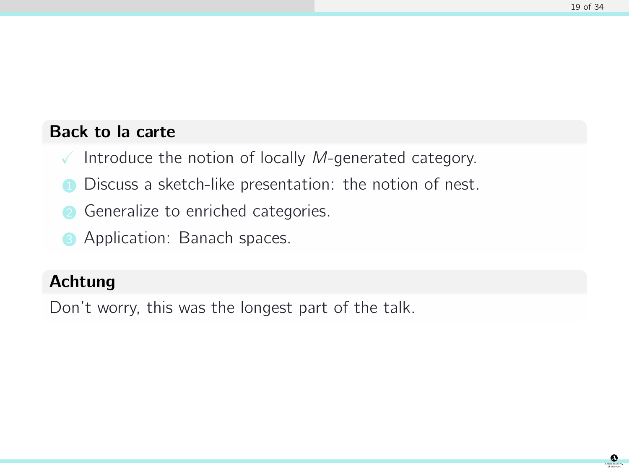# Back to la carte

- $\sqrt{\ }$  Introduce the notion of locally *M*-generated category.
- Discuss a sketch-like presentation: the notion of nest.
- **2** Generalize to enriched categories.
- Application: Banach spaces.

# Achtung

Don't worry, this was the longest part of the talk.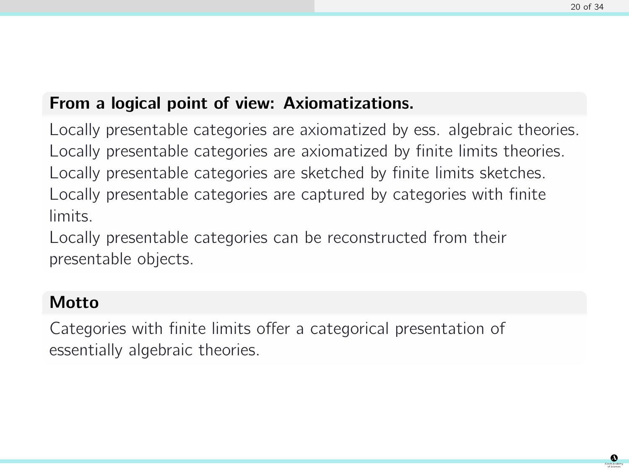# From a logical point of view: Axiomatizations.

Locally presentable categories are axiomatized by ess. algebraic theories. Locally presentable categories are axiomatized by finite limits theories. Locally presentable categories are sketched by finite limits sketches. Locally presentable categories are captured by categories with finite limits.

Locally presentable categories can be reconstructed from their presentable objects.

# Motto

Categories with finite limits offer a categorical presentation of essentially algebraic theories.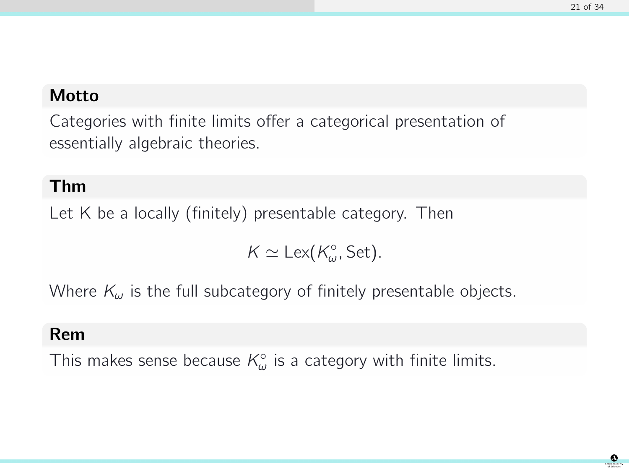# Motto

Categories with finite limits offer a categorical presentation of essentially algebraic theories.

### Thm

Let K be a locally (finitely) presentable category. Then

 $K \simeq \text{Lex}(K_{\omega}^{\circ}, \text{Set}).$ 

Where  $K_{\omega}$  is the full subcategory of finitely presentable objects.

#### Rem

This makes sense because  $\mathcal{K}_{\omega}^{\circ}$  is a category with finite limits.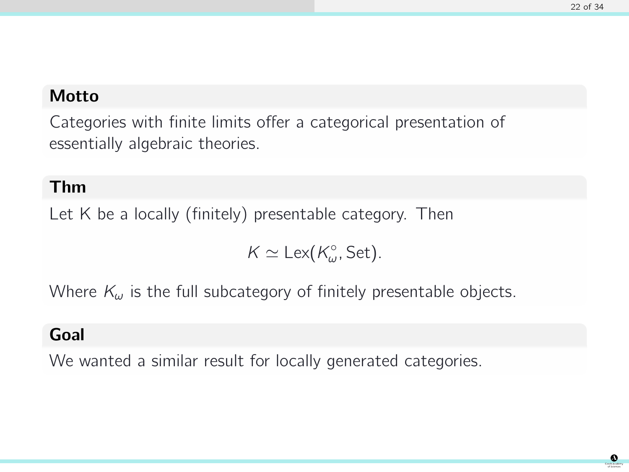# Motto

Categories with finite limits offer a categorical presentation of essentially algebraic theories.

# Thm

Let K be a locally (finitely) presentable category. Then

 $K \simeq \text{Lex}(K_{\omega}^{\circ}, \text{Set}).$ 

Where  $K_{\omega}$  is the full subcategory of finitely presentable objects.

# Goal

We wanted a similar result for locally generated categories.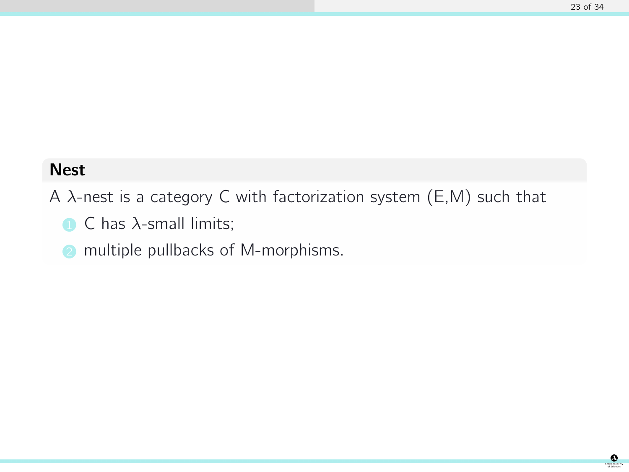# Nest

A  $\lambda$ -nest is a category C with factorization system (E,M) such that

- $\bigcap$  C has  $\lambda$ -small limits;
- **2** multiple pullbacks of M-morphisms.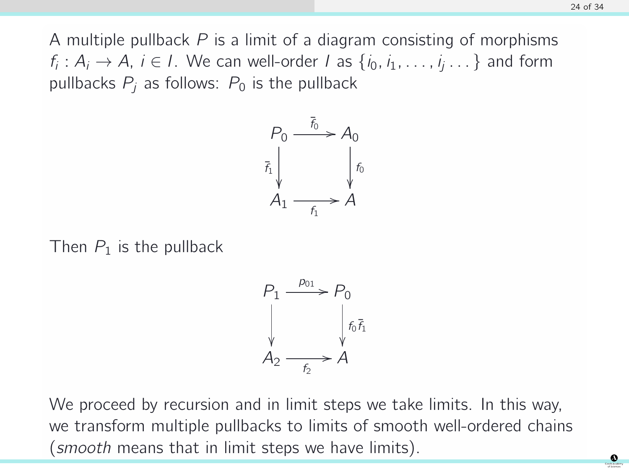A multiple pullback  $P$  is a limit of a diagram consisting of morphisms  $f_i: A_i \to A$ ,  $i \in I$ . We can well-order I as  $\{i_0, i_1, \ldots, i_j \ldots\}$  and form pullbacks  $P_i$  as follows:  $P_0$  is the pullback



Then  $P_1$  is the pullback



We proceed by recursion and in limit steps we take limits. In this way, we transform multiple pullbacks to limits of smooth well-ordered chains (smooth means that in limit steps we have limits).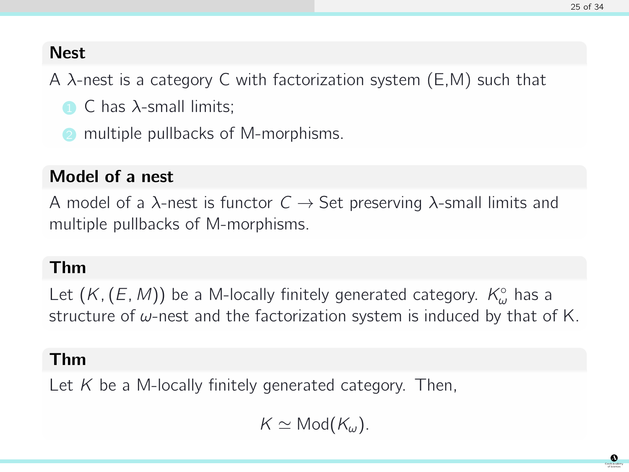# **Nest**

A  $\lambda$ -nest is a category C with factorization system (E,M) such that

- $\bigcap$  C has  $\lambda$ -small limits;
- multiple pullbacks of M-morphisms.

# Model of a nest

A model of a  $\lambda$ -nest is functor  $C \rightarrow$  Set preserving  $\lambda$ -small limits and multiple pullbacks of M-morphisms.

# Thm

Let  $(K, (E, M))$  be a M-locally finitely generated category.  $K^{\circ}_{\omega}$  has a structure of  $\omega$ -nest and the factorization system is induced by that of K.

# Thm

Let  $K$  be a M-locally finitely generated category. Then,

 $K \simeq \mathsf{Mod}(K_\omega)$ .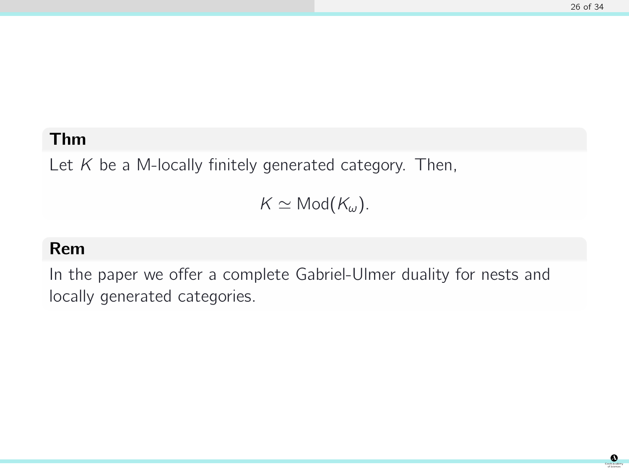# Thm

Let  $K$  be a M-locally finitely generated category. Then,

 $K \simeq \mathsf{Mod}(K_\omega).$ 

# Rem

In the paper we offer a complete Gabriel-Ulmer duality for nests and locally generated categories.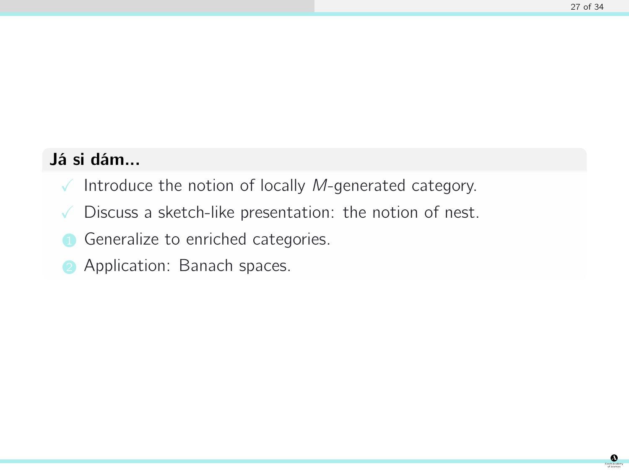# Já si dám...

- $\sqrt{\ }$  Introduce the notion of locally *M*-generated category.
- $\sqrt{\phantom{a}}$  Discuss a sketch-like presentation: the notion of nest.
- **1** Generalize to enriched categories.
- Application: Banach spaces.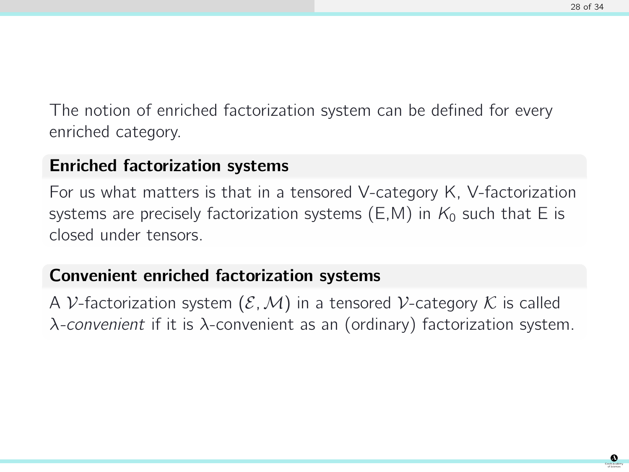The notion of enriched factorization system can be defined for every enriched category.

# Enriched factorization systems

For us what matters is that in a tensored V-category K, V-factorization systems are precisely factorization systems (E,M) in  $K_0$  such that E is closed under tensors.

# Convenient enriched factorization systems

A V-factorization system  $(\mathcal{E}, \mathcal{M})$  in a tensored V-category  $\mathcal{K}$  is called λ-convenient if it is λ-convenient as an (ordinary) factorization system.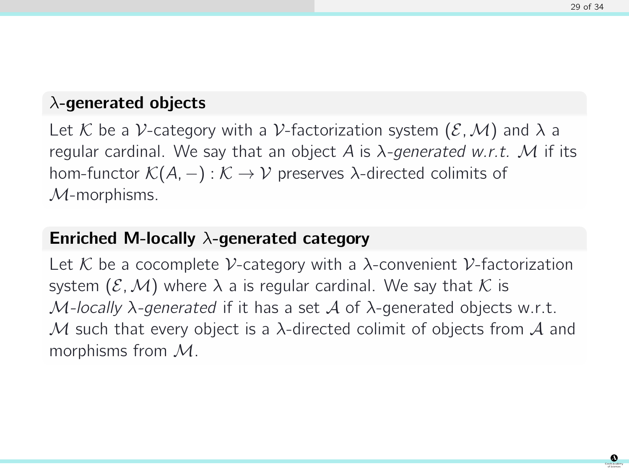### $\lambda$ -generated objects

Let K be a V-category with a V-factorization system  $(\mathcal{E}, \mathcal{M})$  and  $\lambda$  a regular cardinal. We say that an object A is  $\lambda$ -generated w.r.t. M if its hom-functor  $\mathcal{K}(A, -): \mathcal{K} \to \mathcal{V}$  preserves  $\lambda$ -directed colimits of  $M$ -morphisms.

# Enriched M-locally  $\lambda$ -generated category

Let K be a cocomplete V-category with a  $\lambda$ -convenient V-factorization system  $(\mathcal{E},\mathcal{M})$  where  $\lambda$  a is regular cardinal. We say that K is  $M$ -locally  $\lambda$ -generated if it has a set  $\mathcal A$  of  $\lambda$ -generated objects w.r.t. M such that every object is a  $\lambda$ -directed colimit of objects from  $\mathcal A$  and morphisms from M.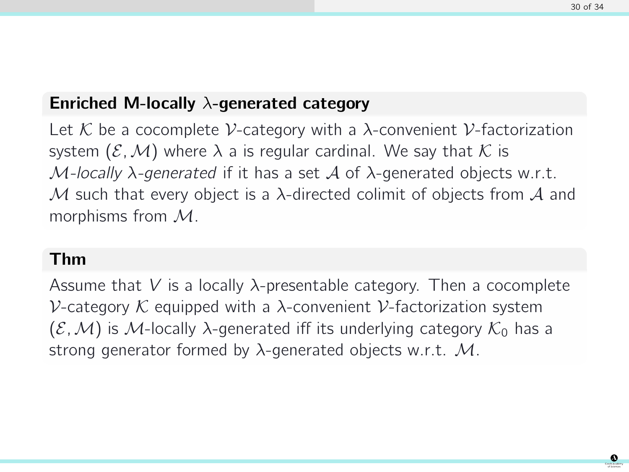### Enriched M-locally  $\lambda$ -generated category

Let K be a cocomplete V-category with a  $\lambda$ -convenient V-factorization system  $(\mathcal{E},\mathcal{M})$  where  $\lambda$  a is regular cardinal. We say that K is  $M$ -locally  $\lambda$ -generated if it has a set  $\mathcal A$  of  $\lambda$ -generated objects w.r.t. M such that every object is a  $\lambda$ -directed colimit of objects from A and morphisms from M.

#### Thm

Assume that V is a locally  $\lambda$ -presentable category. Then a cocomplete V-category K equipped with a  $\lambda$ -convenient V-factorization system  $(\mathcal{E},\mathcal{M})$  is M-locally  $\lambda$ -generated iff its underlying category  $\mathcal{K}_0$  has a strong generator formed by  $\lambda$ -generated objects w.r.t. M.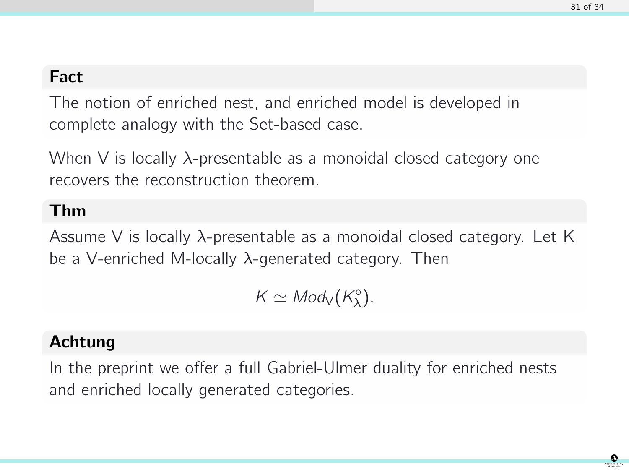# Fact

The notion of enriched nest, and enriched model is developed in complete analogy with the Set-based case.

When V is locally  $\lambda$ -presentable as a monoidal closed category one recovers the reconstruction theorem.

# Thm

Assume V is locally  $\lambda$ -presentable as a monoidal closed category. Let K be a V-enriched M-locally λ-generated category. Then

 $K \simeq Mod_{V}(K_{\lambda}^{\circ}).$ 

# Achtung

In the preprint we offer a full Gabriel-Ulmer duality for enriched nests and enriched locally generated categories.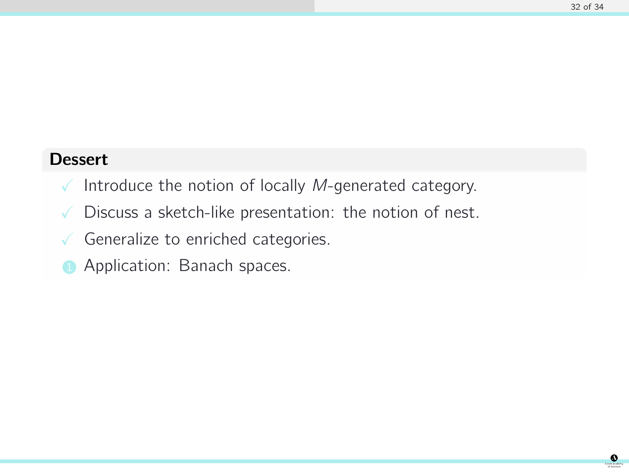### **Dessert**

- $\sqrt{\ }$  Introduce the notion of locally *M*-generated category.
- $\sqrt{\phantom{a}}$  Discuss a sketch-like presentation: the notion of nest.
- $\sqrt{\ }$  Generalize to enriched categories.
- Application: Banach spaces.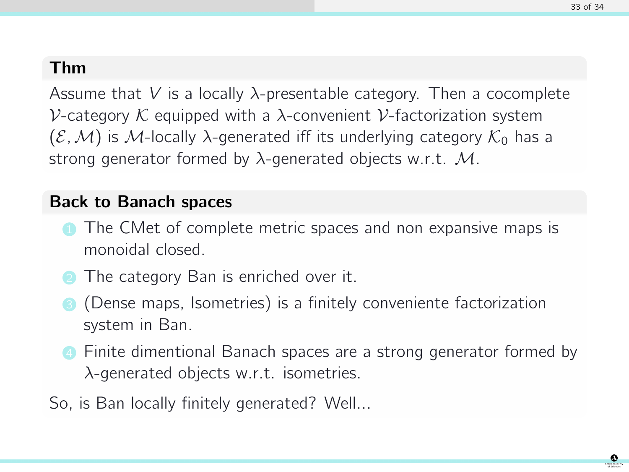# Thm

Assume that V is a locally  $\lambda$ -presentable category. Then a cocomplete V-category  $K$  equipped with a  $\lambda$ -convenient V-factorization system  $(\mathcal{E},\mathcal{M})$  is M-locally  $\lambda$ -generated iff its underlying category  $\mathcal{K}_0$  has a strong generator formed by  $\lambda$ -generated objects w.r.t. M.

# Back to Banach spaces

- The CMet of complete metric spaces and non expansive maps is monoidal closed.
- **2** The category Ban is enriched over it.
- <sup>3</sup> (Dense maps, Isometries) is a finitely conveniente factorization system in Ban.
- **4** Finite dimentional Banach spaces are a strong generator formed by λ-generated objects w.r.t. isometries.
- So, is Ban locally finitely generated? Well...